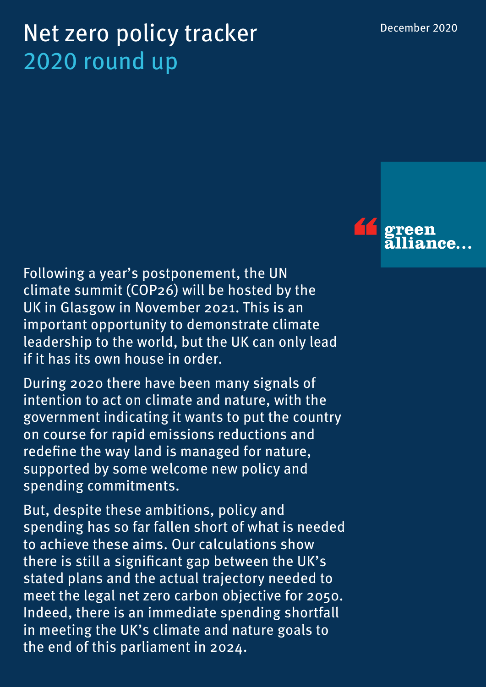# Net zero policy tracker 2020 round up

Following a year's postponement, the UN climate summit (COP26) will be hosted by the UK in Glasgow in November 2021. This is an important opportunity to demonstrate climate leadership to the world, but the UK can only lead if it has its own house in order.

During 2020 there have been many signals of intention to act on climate and nature, with the government indicating it wants to put the country on course for rapid emissions reductions and redefine the way land is managed for nature, supported by some welcome new policy and spending commitments.

But, despite these ambitions, policy and spending has so far fallen short of what is needed to achieve these aims. Our calculations show there is still a significant gap between the UK's stated plans and the actual trajectory needed to meet the legal net zero carbon objective for 2050. Indeed, there is an immediate spending shortfall in meeting the UK's climate and nature goals to the end of this parliament in 2024.

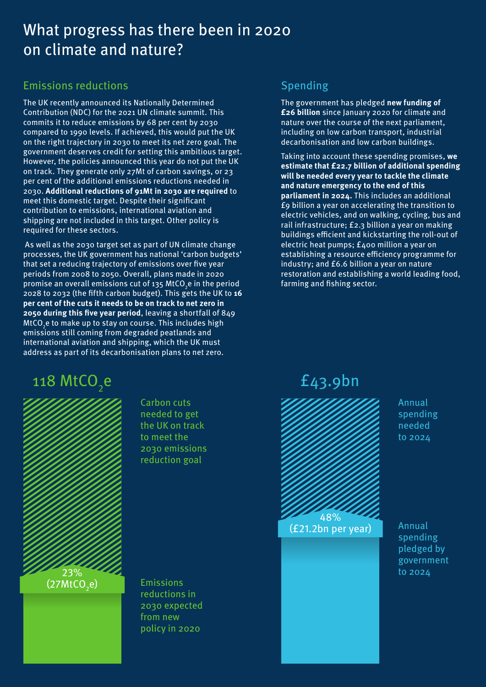# What progress has there been in 2020 on climate and nature?

### Emissions reductions

The UK recently announced its Nationally Determined Contribution (NDC) for the 2021 UN climate summit. This commits it to reduce emissions by 68 per cent by 2030 compared to 1990 levels. If achieved, this would put the UK on the right trajectory in 2030 to meet its net zero goal. The government deserves credit for setting this ambitious target. However, the policies announced this year do not put the UK on track. They generate only 27Mt of carbon savings, or 23 per cent of the additional emissions reductions needed in 2030. **Additional reductions of 91Mt in 2030 are required** to meet this domestic target. Despite their significant contribution to emissions, international aviation and shipping are not included in this target. Other policy is required for these sectors.

As well as the 2030 target set as part of UN climate change processes, the UK government has national 'carbon budgets' that set a reducing trajectory of emissions over five year periods from 2008 to 2050. Overall, plans made in 2020 promise an overall emissions cut of 135 MtCO<sub>2</sub>e in the period 2028 to 2032 (the fifth carbon budget). This gets the UK to **16 per cent of the cuts it needs to be on track to net zero in 2050 during this five year period**, leaving a shortfall of 849 MtCO $_2$ e to make up to stay on course. This includes high emissions still coming from degraded peatlands and international aviation and shipping, which the UK must address as part of its decarbonisation plans to net zero.

# 118 MtCO<sub>2</sub>e **2**43.9bn



Carbon cuts needed to get the UK on track to meet the 2030 emissions reduction goal

Emissions reductions in 2030 expected from new policy in 2020

## Spending

The government has pledged **new funding of £26 billion** since January 2020 for climate and nature over the course of the next parliament, including on low carbon transport, industrial decarbonisation and low carbon buildings.

Taking into account these spending promises, **we estimate that £22.7 billion of additional spending will be needed every year to tackle the climate and nature emergency to the end of this parliament in 2024.** This includes an additional £9 billion a year on accelerating the transition to electric vehicles, and on walking, cycling, bus and rail infrastructure; £2.3 billion a year on making buildings efficient and kickstarting the roll-out of electric heat pumps; £400 million a year on establishing a resource efficiency programme for industry; and £6.6 billion a year on nature restoration and establishing a world leading food, farming and fishing sector.



Annual spending needed to 2024

Annual spending pledged by government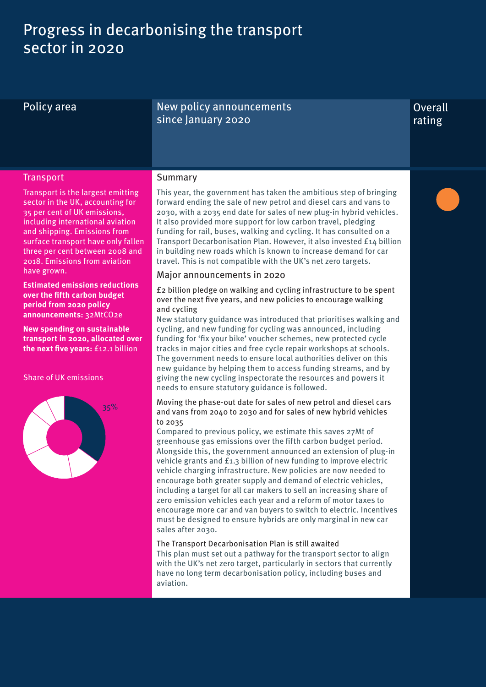# Progress in decarbonising the transport sector in 2020

Policy area New policy announcements since January 2020

### **Overall** rating

### **Transport**

Summary

Transport is the largest emitting sector in the UK, accounting for 35 per cent of UK emissions, including international aviation and shipping. Emissions from surface transport have only fallen three per cent between 2008 and 2018. Emissions from aviation have grown.

**Estimated emissions reductions over the fifth carbon budget period from 2020 policy announcements:** 32MtCO2e

**New spending on sustainable transport in 2020, allocated over the next five years:** £12.1 billion

#### Share of UK emissions



This year, the government has taken the ambitious step of bringing forward ending the sale of new petrol and diesel cars and vans to 2030, with a 2035 end date for sales of new plug-in hybrid vehicles. It also provided more support for low carbon travel, pledging funding for rail, buses, walking and cycling. It has consulted on a Transport Decarbonisation Plan. However, it also invested £14 billion in building new roads which is known to increase demand for car travel. This is not compatible with the UK's net zero targets.

### Major announcements in 2020

£2 billion pledge on walking and cycling infrastructure to be spent over the next five years, and new policies to encourage walking and cycling

New statutory guidance was introduced that prioritises walking and cycling, and new funding for cycling was announced, including funding for 'fix your bike' voucher schemes, new protected cycle tracks in major cities and free cycle repair workshops at schools. The government needs to ensure local authorities deliver on this new guidance by helping them to access funding streams, and by giving the new cycling inspectorate the resources and powers it needs to ensure statutory guidance is followed.

#### Moving the phase-out date for sales of new petrol and diesel cars and vans from 2040 to 2030 and for sales of new hybrid vehicles to 2035

Compared to previous policy, we estimate this saves 27Mt of greenhouse gas emissions over the fifth carbon budget period. Alongside this, the government announced an extension of plug-in vehicle grants and £1.3 billion of new funding to improve electric vehicle charging infrastructure. New policies are now needed to encourage both greater supply and demand of electric vehicles, including a target for all car makers to sell an increasing share of zero emission vehicles each year and a reform of motor taxes to encourage more car and van buyers to switch to electric. Incentives must be designed to ensure hybrids are only marginal in new car sales after 2030.

#### The Transport Decarbonisation Plan is still awaited

This plan must set out a pathway for the transport sector to align with the UK's net zero target, particularly in sectors that currently have no long term decarbonisation policy, including buses and aviation.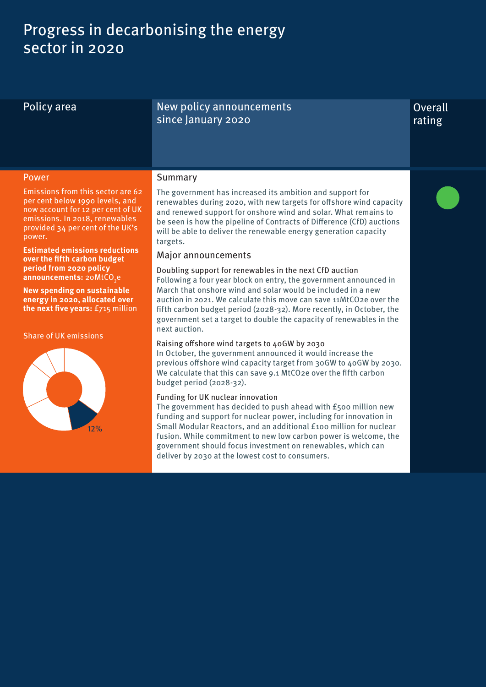# Progress in decarbonising the energy sector in 2020

Policy area New policy announcements since January 2020

### **Overall** rating

#### Power

#### Summary

Emissions from this sector are 62 per cent below 1990 levels, and now account for 12 per cent of UK emissions. In 2018, renewables provided 34 per cent of the UK's power.

**Estimated emissions reductions over the fifth carbon budget period from 2020 policy announcements:** 20<code>MtCO $_{\textrm{2}}$ e</code>

**New spending on sustainable energy in 2020, allocated over the next five years:** £715 million

Share of UK emissions



The government has increased its ambition and support for renewables during 2020, with new targets for offshore wind capacity and renewed support for onshore wind and solar. What remains to be seen is how the pipeline of Contracts of Difference (CfD) auctions will be able to deliver the renewable energy generation capacity targets.

### Major announcements

Doubling support for renewables in the next CfD auction Following a four year block on entry, the government announced in March that onshore wind and solar would be included in a new auction in 2021. We calculate this move can save 11MtCO2e over the fifth carbon budget period (2028-32). More recently, in October, the government set a target to double the capacity of renewables in the next auction.

#### Raising offshore wind targets to 40GW by 2030

In October, the government announced it would increase the previous offshore wind capacity target from 30GW to 40GW by 2030. We calculate that this can save 9.1 MtCO2e over the fifth carbon budget period (2028-32).

#### Funding for UK nuclear innovation

The government has decided to push ahead with £500 million new funding and support for nuclear power, including for innovation in Small Modular Reactors, and an additional £100 million for nuclear fusion. While commitment to new low carbon power is welcome, the government should focus investment on renewables, which can deliver by 2030 at the lowest cost to consumers.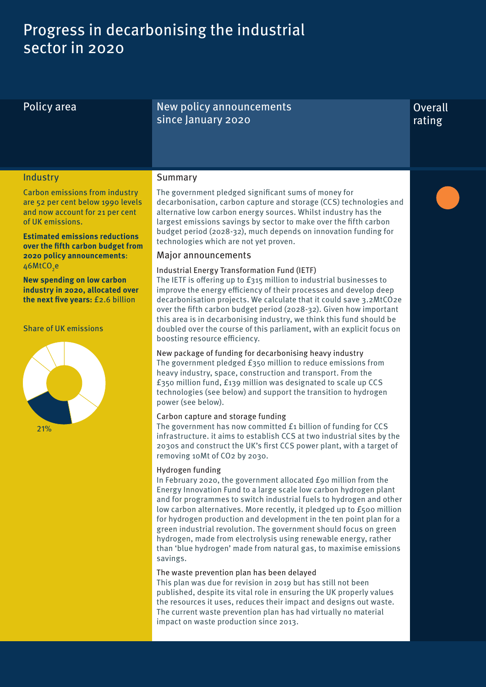# Progress in decarbonising the industrial sector in 2020

Policy area New policy announcements since January 2020

## **Overall** rating

### **Industry**

Summary

Carbon emissions from industry are 52 per cent below 1990 levels and now account for 21 per cent of UK emissions.

**Estimated emissions reductions over the fifth carbon budget from 2020 policy announcements**: 46 $\mathsf{MtCO}_{2}$ e

**New spending on low carbon industry in 2020, allocated over the next five years:** £2.6 billion

Share of UK emissions



The government pledged significant sums of money for decarbonisation, carbon capture and storage (CCS) technologies and alternative low carbon energy sources. Whilst industry has the largest emissions savings by sector to make over the fifth carbon budget period (2028-32), much depends on innovation funding for technologies which are not yet proven.

### Major announcements

#### Industrial Energy Transformation Fund (IETF)

The IETF is offering up to £315 million to industrial businesses to improve the energy efficiency of their processes and develop deep decarbonisation projects. We calculate that it could save 3.2MtCO2e over the fifth carbon budget period (2028-32). Given how important this area is in decarbonising industry, we think this fund should be doubled over the course of this parliament, with an explicit focus on boosting resource efficiency.

New package of funding for decarbonising heavy industry The government pledged £350 million to reduce emissions from heavy industry, space, construction and transport. From the £350 million fund, £139 million was designated to scale up CCS technologies (see below) and support the transition to hydrogen power (see below).

#### Carbon capture and storage funding

The government has now committed £1 billion of funding for CCS infrastructure. it aims to establish CCS at two industrial sites by the 2030s and construct the UK's first CCS power plant, with a target of removing 10Mt of CO2 by 2030.

#### Hydrogen funding

In February 2020, the government allocated £90 million from the Energy Innovation Fund to a large scale low carbon hydrogen plant and for programmes to switch industrial fuels to hydrogen and other low carbon alternatives. More recently, it pledged up to £500 million for hydrogen production and development in the ten point plan for a green industrial revolution. The government should focus on green hydrogen, made from electrolysis using renewable energy, rather than 'blue hydrogen' made from natural gas, to maximise emissions savings.

#### The waste prevention plan has been delayed

This plan was due for revision in 2019 but has still not been published, despite its vital role in ensuring the UK properly values the resources it uses, reduces their impact and designs out waste. The current waste prevention plan has had virtually no material impact on waste production since 2013.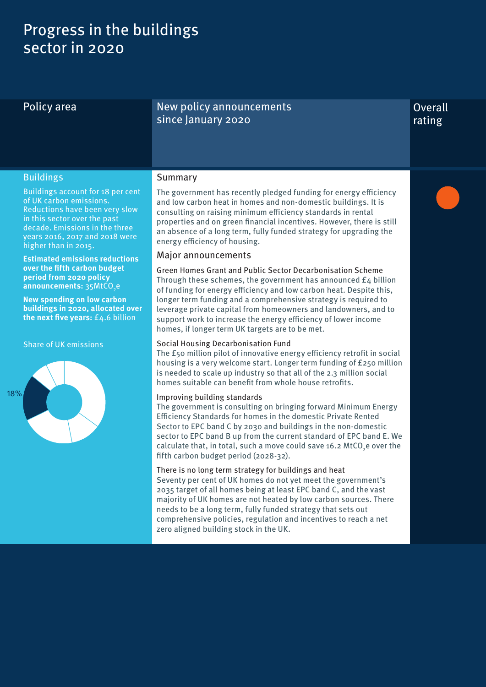# Progress in the buildings sector in 2020

### Policy area New policy announcements since January 2020

## **Overall** rating

### Buildings

Buildings account for 18 per cent of UK carbon emissions. Reductions have been very slow in this sector over the past decade. Emissions in the three years 2016, 2017 and 2018 were higher than in 2015.

**Estimated emissions reductions over the fifth carbon budget period from 2020 policy announcements:** 35MtCO<sub>2</sub>e

**New spending on low carbon buildings in 2020, allocated over the next five years:** £4.6 billion

Share of UK emissions



### Summary

The government has recently pledged funding for energy efficiency and low carbon heat in homes and non-domestic buildings. It is consulting on raising minimum efficiency standards in rental properties and on green financial incentives. However, there is still an absence of a long term, fully funded strategy for upgrading the energy efficiency of housing.

#### Major announcements

Green Homes Grant and Public Sector Decarbonisation Scheme Through these schemes, the government has announced  $E_4$  billion of funding for energy efficiency and low carbon heat. Despite this, longer term funding and a comprehensive strategy is required to leverage private capital from homeowners and landowners, and to support work to increase the energy efficiency of lower income homes, if longer term UK targets are to be met.

#### Social Housing Decarbonisation Fund

The £50 million pilot of innovative energy efficiency retrofit in social housing is a very welcome start. Longer term funding of £250 million is needed to scale up industry so that all of the 2.3 million social homes suitable can benefit from whole house retrofits.

#### Improving building standards

The government is consulting on bringing forward Minimum Energy Efficiency Standards for homes in the domestic Private Rented Sector to EPC band C by 2030 and buildings in the non-domestic sector to EPC band B up from the current standard of EPC band E. We calculate that, in total, such a move could save 16.2 MtCO<sub>2</sub>e over the fifth carbon budget period (2028-32).

### There is no long term strategy for buildings and heat

Seventy per cent of UK homes do not yet meet the government's 2035 target of all homes being at least EPC band C, and the vast majority of UK homes are not heated by low carbon sources. There needs to be a long term, fully funded strategy that sets out comprehensive policies, regulation and incentives to reach a net zero aligned building stock in the UK.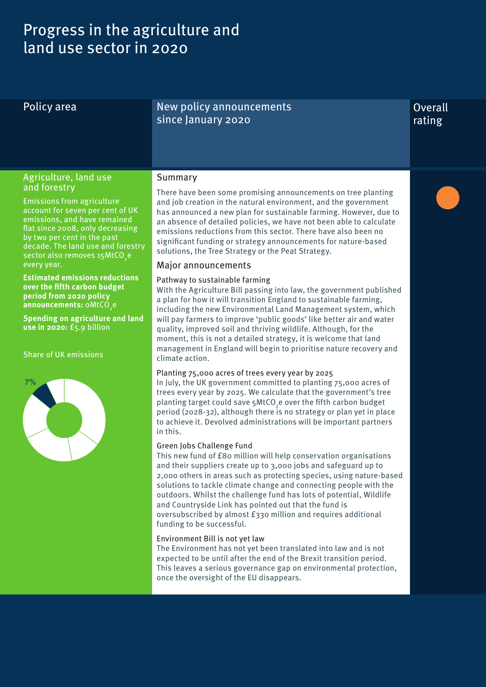# Progress in the agriculture and land use sector in 2020

Policy area New policy announcements since January 2020

## **Overall** rating

### Agriculture, land use and forestry

Emissions from agriculture account for seven per cent of UK emissions, and have remained flat since 2008, only decreasing by two per cent in the past decade. The land use and forestry sector also removes 15 $\mathsf{MtCO}_{_2}$ e every year.

**Estimated emissions reductions over the fifth carbon budget period from 2020 policy announcements:** oMtCO<sub>2</sub>e

**Spending on agriculture and land use in 2020:** £5.9 billion

Share of UK emissions



### Summary

There have been some promising announcements on tree planting and job creation in the natural environment, and the government has announced a new plan for sustainable farming. However, due to an absence of detailed policies, we have not been able to calculate emissions reductions from this sector. There have also been no significant funding or strategy announcements for nature-based solutions, the Tree Strategy or the Peat Strategy.

### Major announcements

#### Pathway to sustainable farming

With the Agriculture Bill passing into law, the government published a plan for how it will transition England to sustainable farming, including the new Environmental Land Management system, which will pay farmers to improve 'public goods' like better air and water quality, improved soil and thriving wildlife. Although, for the moment, this is not a detailed strategy, it is welcome that land management in England will begin to prioritise nature recovery and climate action.

#### Planting 75,000 acres of trees every year by 2025

In July, the UK government committed to planting 75,000 acres of trees every year by 2025. We calculate that the government's tree planting target could save 5MtCO<sub>2</sub>e over the fifth carbon budget period (2028-32), although there is no strategy or plan yet in place to achieve it. Devolved administrations will be important partners in this.

#### Green Jobs Challenge Fund

This new fund of £80 million will help conservation organisations and their suppliers create up to 3,000 jobs and safeguard up to 2,000 others in areas such as protecting species, using nature-based solutions to tackle climate change and connecting people with the outdoors. Whilst the challenge fund has lots of potential, Wildlife and Countryside Link has pointed out that the fund is oversubscribed by almost £330 million and requires additional funding to be successful.

#### Environment Bill is not yet law

The Environment has not yet been translated into law and is not expected to be until after the end of the Brexit transition period. This leaves a serious governance gap on environmental protection, once the oversight of the EU disappears.